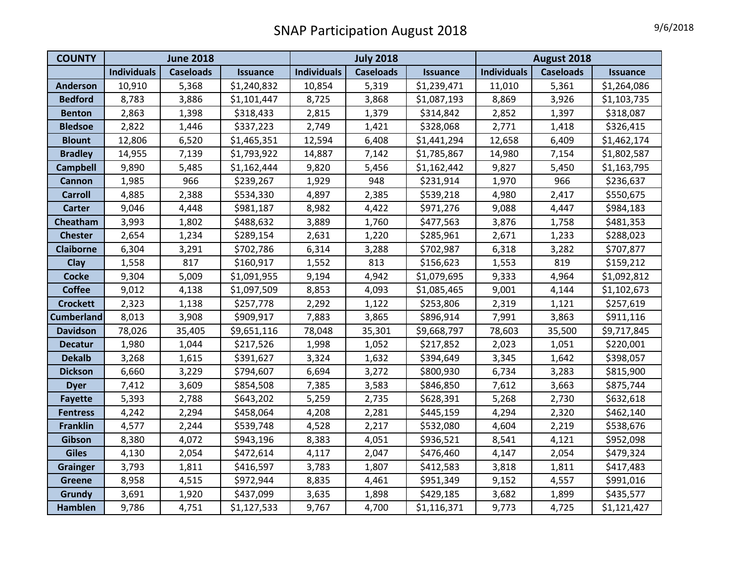## SNAP Participation August 2018 9/6/2018

| <b>COUNTY</b>     | <b>June 2018</b>   |                  |                 | <b>July 2018</b>   |                  |                 | August 2018        |                  |                 |
|-------------------|--------------------|------------------|-----------------|--------------------|------------------|-----------------|--------------------|------------------|-----------------|
|                   | <b>Individuals</b> | <b>Caseloads</b> | <b>Issuance</b> | <b>Individuals</b> | <b>Caseloads</b> | <b>Issuance</b> | <b>Individuals</b> | <b>Caseloads</b> | <b>Issuance</b> |
| <b>Anderson</b>   | 10,910             | 5,368            | \$1,240,832     | 10,854             | 5,319            | \$1,239,471     | 11,010             | 5,361            | \$1,264,086     |
| <b>Bedford</b>    | 8,783              | 3,886            | \$1,101,447     | 8,725              | 3,868            | \$1,087,193     | 8,869              | 3,926            | \$1,103,735     |
| <b>Benton</b>     | 2,863              | 1,398            | \$318,433       | 2,815              | 1,379            | \$314,842       | 2,852              | 1,397            | \$318,087       |
| <b>Bledsoe</b>    | 2,822              | 1,446            | \$337,223       | 2,749              | 1,421            | \$328,068       | 2,771              | 1,418            | \$326,415       |
| <b>Blount</b>     | 12,806             | 6,520            | \$1,465,351     | 12,594             | 6,408            | \$1,441,294     | 12,658             | 6,409            | \$1,462,174     |
| <b>Bradley</b>    | 14,955             | 7,139            | \$1,793,922     | 14,887             | 7,142            | \$1,785,867     | 14,980             | 7,154            | \$1,802,587     |
| <b>Campbell</b>   | 9,890              | 5,485            | \$1,162,444     | 9,820              | 5,456            | \$1,162,442     | 9,827              | 5,450            | \$1,163,795     |
| <b>Cannon</b>     | 1,985              | 966              | \$239,267       | 1,929              | 948              | \$231,914       | 1,970              | 966              | \$236,637       |
| <b>Carroll</b>    | 4,885              | 2,388            | \$534,330       | 4,897              | 2,385            | \$539,218       | 4,980              | 2,417            | \$550,675       |
| <b>Carter</b>     | 9,046              | 4,448            | \$981,187       | 8,982              | 4,422            | \$971,276       | 9,088              | 4,447            | \$984,183       |
| Cheatham          | 3,993              | 1,802            | \$488,632       | 3,889              | 1,760            | \$477,563       | 3,876              | 1,758            | \$481,353       |
| <b>Chester</b>    | 2,654              | 1,234            | \$289,154       | 2,631              | 1,220            | \$285,961       | 2,671              | 1,233            | \$288,023       |
| <b>Claiborne</b>  | 6,304              | 3,291            | \$702,786       | 6,314              | 3,288            | \$702,987       | 6,318              | 3,282            | \$707,877       |
| Clay              | 1,558              | 817              | \$160,917       | 1,552              | 813              | \$156,623       | 1,553              | 819              | \$159,212       |
| <b>Cocke</b>      | 9,304              | 5,009            | \$1,091,955     | 9,194              | 4,942            | \$1,079,695     | 9,333              | 4,964            | \$1,092,812     |
| <b>Coffee</b>     | 9,012              | 4,138            | \$1,097,509     | 8,853              | 4,093            | \$1,085,465     | 9,001              | 4,144            | \$1,102,673     |
| <b>Crockett</b>   | 2,323              | 1,138            | \$257,778       | 2,292              | 1,122            | \$253,806       | 2,319              | 1,121            | \$257,619       |
| <b>Cumberland</b> | 8,013              | 3,908            | \$909,917       | 7,883              | 3,865            | \$896,914       | 7,991              | 3,863            | \$911,116       |
| <b>Davidson</b>   | 78,026             | 35,405           | \$9,651,116     | 78,048             | 35,301           | \$9,668,797     | 78,603             | 35,500           | \$9,717,845     |
| <b>Decatur</b>    | 1,980              | 1,044            | \$217,526       | 1,998              | 1,052            | \$217,852       | 2,023              | 1,051            | \$220,001       |
| <b>Dekalb</b>     | 3,268              | 1,615            | \$391,627       | 3,324              | 1,632            | \$394,649       | 3,345              | 1,642            | \$398,057       |
| <b>Dickson</b>    | 6,660              | 3,229            | \$794,607       | 6,694              | 3,272            | \$800,930       | 6,734              | 3,283            | \$815,900       |
| <b>Dyer</b>       | 7,412              | 3,609            | \$854,508       | 7,385              | 3,583            | \$846,850       | 7,612              | 3,663            | \$875,744       |
| <b>Fayette</b>    | 5,393              | 2,788            | \$643,202       | 5,259              | 2,735            | \$628,391       | 5,268              | 2,730            | \$632,618       |
| <b>Fentress</b>   | 4,242              | 2,294            | \$458,064       | 4,208              | 2,281            | \$445,159       | 4,294              | 2,320            | \$462,140       |
| <b>Franklin</b>   | 4,577              | 2,244            | \$539,748       | 4,528              | 2,217            | \$532,080       | 4,604              | 2,219            | \$538,676       |
| Gibson            | 8,380              | 4,072            | \$943,196       | 8,383              | 4,051            | \$936,521       | 8,541              | 4,121            | \$952,098       |
| <b>Giles</b>      | 4,130              | 2,054            | \$472,614       | 4,117              | 2,047            | \$476,460       | 4,147              | 2,054            | \$479,324       |
| <b>Grainger</b>   | 3,793              | 1,811            | \$416,597       | 3,783              | 1,807            | \$412,583       | 3,818              | 1,811            | \$417,483       |
| <b>Greene</b>     | 8,958              | 4,515            | \$972,944       | 8,835              | 4,461            | \$951,349       | 9,152              | 4,557            | \$991,016       |
| Grundy            | 3,691              | 1,920            | \$437,099       | 3,635              | 1,898            | \$429,185       | 3,682              | 1,899            | \$435,577       |
| Hamblen           | 9,786              | 4,751            | \$1,127,533     | 9,767              | 4,700            | \$1,116,371     | 9,773              | 4,725            | \$1,121,427     |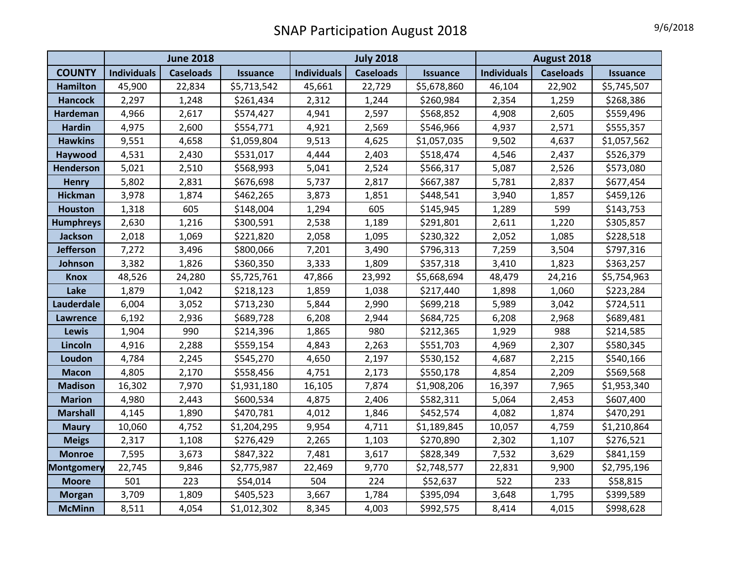## SNAP Participation August 2018 19/6/2018

| 9/6/2018 |
|----------|
|----------|

|                   | <b>June 2018</b>   |                  |                 | <b>July 2018</b>   |                  |                 | August 2018        |                  |                 |
|-------------------|--------------------|------------------|-----------------|--------------------|------------------|-----------------|--------------------|------------------|-----------------|
| <b>COUNTY</b>     | <b>Individuals</b> | <b>Caseloads</b> | <b>Issuance</b> | <b>Individuals</b> | <b>Caseloads</b> | <b>Issuance</b> | <b>Individuals</b> | <b>Caseloads</b> | <b>Issuance</b> |
| <b>Hamilton</b>   | 45,900             | 22,834           | \$5,713,542     | 45,661             | 22,729           | \$5,678,860     | 46,104             | 22,902           | \$5,745,507     |
| <b>Hancock</b>    | 2,297              | 1,248            | \$261,434       | 2,312              | 1,244            | \$260,984       | 2,354              | 1,259            | \$268,386       |
| Hardeman          | 4,966              | 2,617            | \$574,427       | 4,941              | 2,597            | \$568,852       | 4,908              | 2,605            | \$559,496       |
| <b>Hardin</b>     | 4,975              | 2,600            | \$554,771       | 4,921              | 2,569            | \$546,966       | 4,937              | 2,571            | \$555,357       |
| <b>Hawkins</b>    | 9,551              | 4,658            | \$1,059,804     | 9,513              | 4,625            | \$1,057,035     | 9,502              | 4,637            | \$1,057,562     |
| Haywood           | 4,531              | 2,430            | \$531,017       | 4,444              | 2,403            | \$518,474       | 4,546              | 2,437            | \$526,379       |
| <b>Henderson</b>  | 5,021              | 2,510            | \$568,993       | 5,041              | 2,524            | \$566,317       | 5,087              | 2,526            | \$573,080       |
| <b>Henry</b>      | 5,802              | 2,831            | \$676,698       | 5,737              | 2,817            | \$667,387       | 5,781              | 2,837            | \$677,454       |
| Hickman           | 3,978              | 1,874            | \$462,265       | 3,873              | 1,851            | \$448,541       | 3,940              | 1,857            | \$459,126       |
| <b>Houston</b>    | 1,318              | 605              | \$148,004       | 1,294              | 605              | \$145,945       | 1,289              | 599              | \$143,753       |
| <b>Humphreys</b>  | 2,630              | 1,216            | \$300,591       | 2,538              | 1,189            | \$291,801       | 2,611              | 1,220            | \$305,857       |
| <b>Jackson</b>    | 2,018              | 1,069            | \$221,820       | 2,058              | 1,095            | \$230,322       | 2,052              | 1,085            | \$228,518       |
| <b>Jefferson</b>  | 7,272              | 3,496            | \$800,066       | 7,201              | 3,490            | \$796,313       | 7,259              | 3,504            | \$797,316       |
| Johnson           | 3,382              | 1,826            | \$360,350       | 3,333              | 1,809            | \$357,318       | 3,410              | 1,823            | \$363,257       |
| <b>Knox</b>       | 48,526             | 24,280           | \$5,725,761     | 47,866             | 23,992           | \$5,668,694     | 48,479             | 24,216           | \$5,754,963     |
| Lake              | 1,879              | 1,042            | \$218,123       | 1,859              | 1,038            | \$217,440       | 1,898              | 1,060            | \$223,284       |
| <b>Lauderdale</b> | 6,004              | 3,052            | \$713,230       | 5,844              | 2,990            | \$699,218       | 5,989              | 3,042            | \$724,511       |
| Lawrence          | 6,192              | 2,936            | \$689,728       | 6,208              | 2,944            | \$684,725       | 6,208              | 2,968            | \$689,481       |
| Lewis             | 1,904              | 990              | \$214,396       | 1,865              | 980              | \$212,365       | 1,929              | 988              | \$214,585       |
| Lincoln           | 4,916              | 2,288            | \$559,154       | 4,843              | 2,263            | \$551,703       | 4,969              | 2,307            | \$580,345       |
| Loudon            | 4,784              | 2,245            | \$545,270       | 4,650              | 2,197            | \$530,152       | 4,687              | 2,215            | \$540,166       |
| <b>Macon</b>      | 4,805              | 2,170            | \$558,456       | 4,751              | 2,173            | \$550,178       | 4,854              | 2,209            | \$569,568       |
| <b>Madison</b>    | 16,302             | 7,970            | \$1,931,180     | 16,105             | 7,874            | \$1,908,206     | 16,397             | 7,965            | \$1,953,340     |
| <b>Marion</b>     | 4,980              | 2,443            | \$600,534       | 4,875              | 2,406            | \$582,311       | 5,064              | 2,453            | \$607,400       |
| <b>Marshall</b>   | 4,145              | 1,890            | \$470,781       | 4,012              | 1,846            | \$452,574       | 4,082              | 1,874            | \$470,291       |
| <b>Maury</b>      | 10,060             | 4,752            | \$1,204,295     | 9,954              | 4,711            | \$1,189,845     | 10,057             | 4,759            | \$1,210,864     |
| <b>Meigs</b>      | 2,317              | 1,108            | \$276,429       | 2,265              | 1,103            | \$270,890       | 2,302              | 1,107            | \$276,521       |
| <b>Monroe</b>     | 7,595              | 3,673            | \$847,322       | 7,481              | 3,617            | \$828,349       | 7,532              | 3,629            | \$841,159       |
| <b>Montgomery</b> | 22,745             | 9,846            | \$2,775,987     | 22,469             | 9,770            | \$2,748,577     | 22,831             | 9,900            | \$2,795,196     |
| <b>Moore</b>      | 501                | 223              | \$54,014        | 504                | 224              | \$52,637        | 522                | 233              | \$58,815        |
| <b>Morgan</b>     | 3,709              | 1,809            | \$405,523       | 3,667              | 1,784            | \$395,094       | 3,648              | 1,795            | \$399,589       |
| <b>McMinn</b>     | 8,511              | 4,054            | \$1,012,302     | 8,345              | 4,003            | \$992,575       | 8,414              | 4,015            | \$998,628       |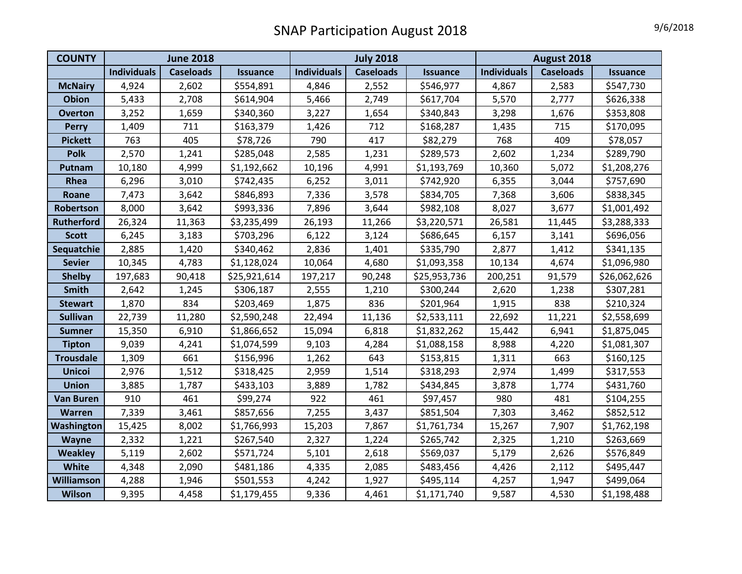## SNAP Participation August 2018 19/6/2018

| <b>COUNTY</b>     | <b>June 2018</b>   |                  |                 | <b>July 2018</b>   |                  |                 | August 2018        |                  |                 |
|-------------------|--------------------|------------------|-----------------|--------------------|------------------|-----------------|--------------------|------------------|-----------------|
|                   | <b>Individuals</b> | <b>Caseloads</b> | <b>Issuance</b> | <b>Individuals</b> | <b>Caseloads</b> | <b>Issuance</b> | <b>Individuals</b> | <b>Caseloads</b> | <b>Issuance</b> |
| <b>McNairy</b>    | 4,924              | 2,602            | \$554,891       | 4,846              | 2,552            | \$546,977       | 4,867              | 2,583            | \$547,730       |
| <b>Obion</b>      | 5,433              | 2,708            | \$614,904       | 5,466              | 2,749            | \$617,704       | 5,570              | 2,777            | \$626,338       |
| <b>Overton</b>    | 3,252              | 1,659            | \$340,360       | 3,227              | 1,654            | \$340,843       | 3,298              | 1,676            | \$353,808       |
| <b>Perry</b>      | 1,409              | 711              | \$163,379       | 1,426              | 712              | \$168,287       | 1,435              | 715              | \$170,095       |
| <b>Pickett</b>    | 763                | 405              | \$78,726        | 790                | 417              | \$82,279        | 768                | 409              | \$78,057        |
| <b>Polk</b>       | 2,570              | 1,241            | \$285,048       | 2,585              | 1,231            | \$289,573       | 2,602              | 1,234            | \$289,790       |
| Putnam            | 10,180             | 4,999            | \$1,192,662     | 10,196             | 4,991            | \$1,193,769     | 10,360             | 5,072            | \$1,208,276     |
| Rhea              | 6,296              | 3,010            | \$742,435       | 6,252              | 3,011            | \$742,920       | 6,355              | 3,044            | \$757,690       |
| Roane             | 7,473              | 3,642            | \$846,893       | 7,336              | 3,578            | \$834,705       | 7,368              | 3,606            | \$838,345       |
| Robertson         | 8,000              | 3,642            | \$993,336       | 7,896              | 3,644            | \$982,108       | 8,027              | 3,677            | \$1,001,492     |
| <b>Rutherford</b> | 26,324             | 11,363           | \$3,235,499     | 26,193             | 11,266           | \$3,220,571     | 26,581             | 11,445           | \$3,288,333     |
| <b>Scott</b>      | 6,245              | 3,183            | \$703,296       | 6,122              | 3,124            | \$686,645       | 6,157              | 3,141            | \$696,056       |
| Sequatchie        | 2,885              | 1,420            | \$340,462       | 2,836              | 1,401            | \$335,790       | 2,877              | 1,412            | \$341,135       |
| <b>Sevier</b>     | 10,345             | 4,783            | \$1,128,024     | 10,064             | 4,680            | \$1,093,358     | 10,134             | 4,674            | \$1,096,980     |
| <b>Shelby</b>     | 197,683            | 90,418           | \$25,921,614    | 197,217            | 90,248           | \$25,953,736    | 200,251            | 91,579           | \$26,062,626    |
| <b>Smith</b>      | 2,642              | 1,245            | \$306,187       | 2,555              | 1,210            | \$300,244       | 2,620              | 1,238            | \$307,281       |
| <b>Stewart</b>    | 1,870              | 834              | \$203,469       | 1,875              | 836              | \$201,964       | 1,915              | 838              | \$210,324       |
| <b>Sullivan</b>   | 22,739             | 11,280           | \$2,590,248     | 22,494             | 11,136           | \$2,533,111     | 22,692             | 11,221           | \$2,558,699     |
| <b>Sumner</b>     | 15,350             | 6,910            | \$1,866,652     | 15,094             | 6,818            | \$1,832,262     | 15,442             | 6,941            | \$1,875,045     |
| <b>Tipton</b>     | 9,039              | 4,241            | \$1,074,599     | 9,103              | 4,284            | \$1,088,158     | 8,988              | 4,220            | \$1,081,307     |
| <b>Trousdale</b>  | 1,309              | 661              | \$156,996       | 1,262              | 643              | \$153,815       | 1,311              | 663              | \$160,125       |
| <b>Unicoi</b>     | 2,976              | 1,512            | \$318,425       | 2,959              | 1,514            | \$318,293       | 2,974              | 1,499            | \$317,553       |
| <b>Union</b>      | 3,885              | 1,787            | \$433,103       | 3,889              | 1,782            | \$434,845       | 3,878              | 1,774            | \$431,760       |
| <b>Van Buren</b>  | 910                | 461              | \$99,274        | 922                | 461              | \$97,457        | 980                | 481              | \$104,255       |
| Warren            | 7,339              | 3,461            | \$857,656       | 7,255              | 3,437            | \$851,504       | 7,303              | 3,462            | \$852,512       |
| Washington        | 15,425             | 8,002            | \$1,766,993     | 15,203             | 7,867            | \$1,761,734     | 15,267             | 7,907            | \$1,762,198     |
| <b>Wayne</b>      | 2,332              | 1,221            | \$267,540       | 2,327              | 1,224            | \$265,742       | 2,325              | 1,210            | \$263,669       |
| <b>Weakley</b>    | 5,119              | 2,602            | \$571,724       | 5,101              | 2,618            | \$569,037       | 5,179              | 2,626            | \$576,849       |
| White             | 4,348              | 2,090            | \$481,186       | 4,335              | 2,085            | \$483,456       | 4,426              | 2,112            | \$495,447       |
| Williamson        | 4,288              | 1,946            | \$501,553       | 4,242              | 1,927            | \$495,114       | 4,257              | 1,947            | \$499,064       |
| <b>Wilson</b>     | 9,395              | 4,458            | \$1,179,455     | 9,336              | 4,461            | \$1,171,740     | 9,587              | 4,530            | \$1,198,488     |